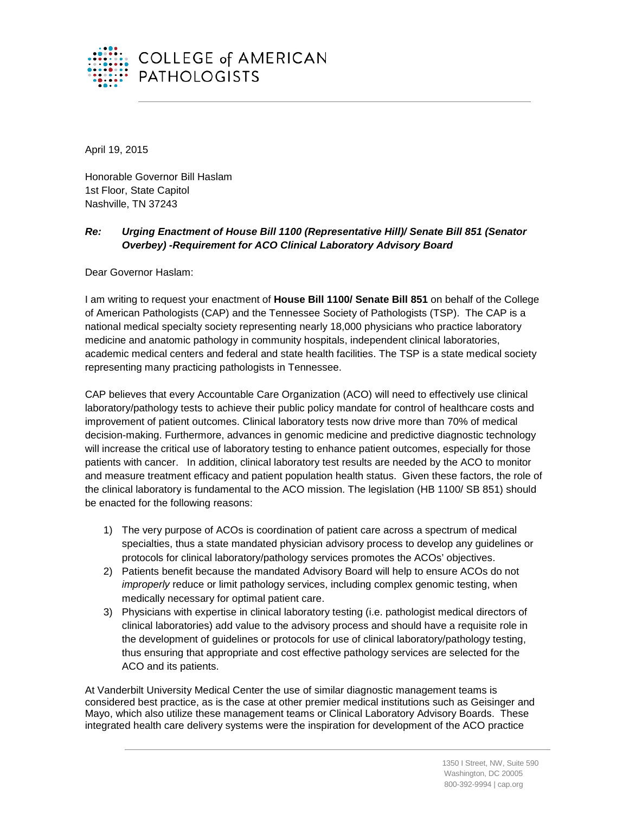

April 19, 2015

Honorable Governor Bill Haslam 1st Floor, State Capitol Nashville, TN 37243

## *Re: Urging Enactment of House Bill 1100 (Representative Hill)/ Senate Bill 851 (Senator Overbey) -Requirement for ACO Clinical Laboratory Advisory Board*

Dear Governor Haslam:

I am writing to request your enactment of **House Bill 1100/ Senate Bill 851** on behalf of the College of American Pathologists (CAP) and the Tennessee Society of Pathologists (TSP). The CAP is a national medical specialty society representing nearly 18,000 physicians who practice laboratory medicine and anatomic pathology in community hospitals, independent clinical laboratories, academic medical centers and federal and state health facilities. The TSP is a state medical society representing many practicing pathologists in Tennessee.

CAP believes that every Accountable Care Organization (ACO) will need to effectively use clinical laboratory/pathology tests to achieve their public policy mandate for control of healthcare costs and improvement of patient outcomes. Clinical laboratory tests now drive more than 70% of medical decision-making. Furthermore, advances in genomic medicine and predictive diagnostic technology will increase the critical use of laboratory testing to enhance patient outcomes, especially for those patients with cancer. In addition, clinical laboratory test results are needed by the ACO to monitor and measure treatment efficacy and patient population health status. Given these factors, the role of the clinical laboratory is fundamental to the ACO mission. The legislation (HB 1100/ SB 851) should be enacted for the following reasons:

- 1) The very purpose of ACOs is coordination of patient care across a spectrum of medical specialties, thus a state mandated physician advisory process to develop any guidelines or protocols for clinical laboratory/pathology services promotes the ACOs' objectives.
- 2) Patients benefit because the mandated Advisory Board will help to ensure ACOs do not *improperly* reduce or limit pathology services, including complex genomic testing, when medically necessary for optimal patient care.
- 3) Physicians with expertise in clinical laboratory testing (i.e. pathologist medical directors of clinical laboratories) add value to the advisory process and should have a requisite role in the development of guidelines or protocols for use of clinical laboratory/pathology testing, thus ensuring that appropriate and cost effective pathology services are selected for the ACO and its patients.

At Vanderbilt University Medical Center the use of similar diagnostic management teams is considered best practice, as is the case at other premier medical institutions such as Geisinger and Mayo, which also utilize these management teams or Clinical Laboratory Advisory Boards. These integrated health care delivery systems were the inspiration for development of the ACO practice